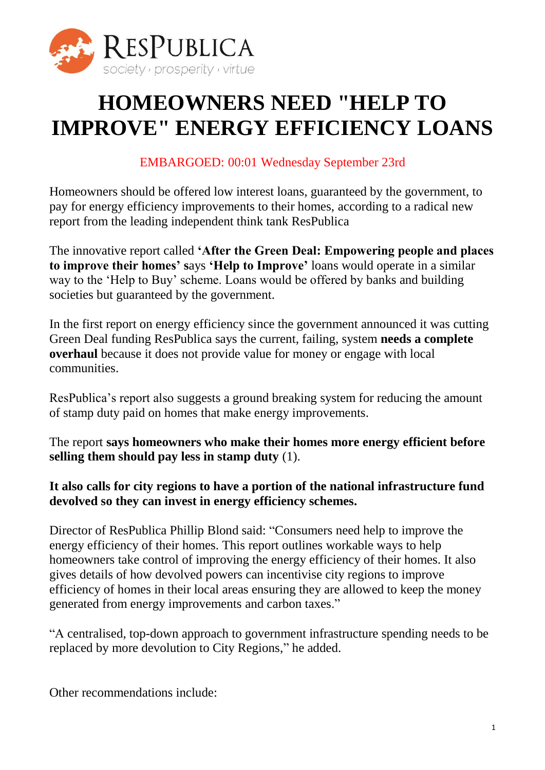

# **HOMEOWNERS NEED "HELP TO IMPROVE" ENERGY EFFICIENCY LOANS**

## EMBARGOED: 00:01 Wednesday September 23rd

Homeowners should be offered low interest loans, guaranteed by the government, to pay for energy efficiency improvements to their homes, according to a radical new report from the leading independent think tank ResPublica

The innovative report called **'After the Green Deal: Empowering people and places to improve their homes' s**ays **'Help to Improve'** loans would operate in a similar way to the 'Help to Buy' scheme. Loans would be offered by banks and building societies but guaranteed by the government.

In the first report on energy efficiency since the government announced it was cutting Green Deal funding ResPublica says the current, failing, system **needs a complete overhaul** because it does not provide value for money or engage with local communities.

ResPublica's report also suggests a ground breaking system for reducing the amount of stamp duty paid on homes that make energy improvements.

The report **says homeowners who make their homes more energy efficient before selling them should pay less in stamp duty** (1).

## **It also calls for city regions to have a portion of the national infrastructure fund devolved so they can invest in energy efficiency schemes.**

Director of ResPublica Phillip Blond said: "Consumers need help to improve the energy efficiency of their homes. This report outlines workable ways to help homeowners take control of improving the energy efficiency of their homes. It also gives details of how devolved powers can incentivise city regions to improve efficiency of homes in their local areas ensuring they are allowed to keep the money generated from energy improvements and carbon taxes."

"A centralised, top-down approach to government infrastructure spending needs to be replaced by more devolution to City Regions," he added.

Other recommendations include: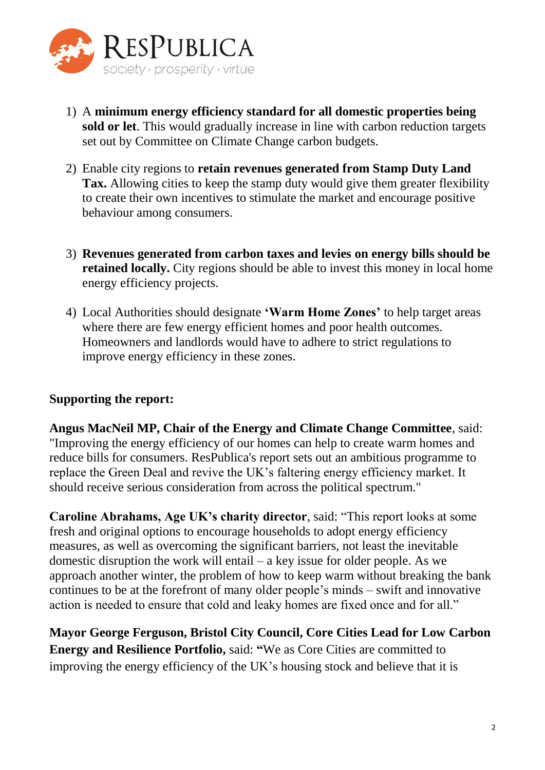

- 1) A **minimum energy efficiency standard for all domestic properties being sold or let**. This would gradually increase in line with carbon reduction targets set out by Committee on Climate Change carbon budgets.
- 2) Enable city regions to **retain revenues generated from Stamp Duty Land Tax.** Allowing cities to keep the stamp duty would give them greater flexibility to create their own incentives to stimulate the market and encourage positive behaviour among consumers.
- 3) **Revenues generated from carbon taxes and levies on energy bills should be retained locally.** City regions should be able to invest this money in local home energy efficiency projects.
- 4) Local Authorities should designate **'Warm Home Zones'** to help target areas where there are few energy efficient homes and poor health outcomes. Homeowners and landlords would have to adhere to strict regulations to improve energy efficiency in these zones.

#### **Supporting the report:**

**Angus MacNeil MP, Chair of the Energy and Climate Change Committee**, said: "Improving the energy efficiency of our homes can help to create warm homes and reduce bills for consumers. ResPublica's report sets out an ambitious programme to replace the Green Deal and revive the UK's faltering energy efficiency market. It should receive serious consideration from across the political spectrum."

**Caroline Abrahams, Age UK's charity director**, said: "This report looks at some fresh and original options to encourage households to adopt energy efficiency measures, as well as overcoming the significant barriers, not least the inevitable domestic disruption the work will entail – a key issue for older people. As we approach another winter, the problem of how to keep warm without breaking the bank continues to be at the forefront of many older people's minds – swift and innovative action is needed to ensure that cold and leaky homes are fixed once and for all."

**Mayor George Ferguson, Bristol City Council, Core Cities Lead for Low Carbon Energy and Resilience Portfolio,** said: **"**We as Core Cities are committed to improving the energy efficiency of the UK's housing stock and believe that it is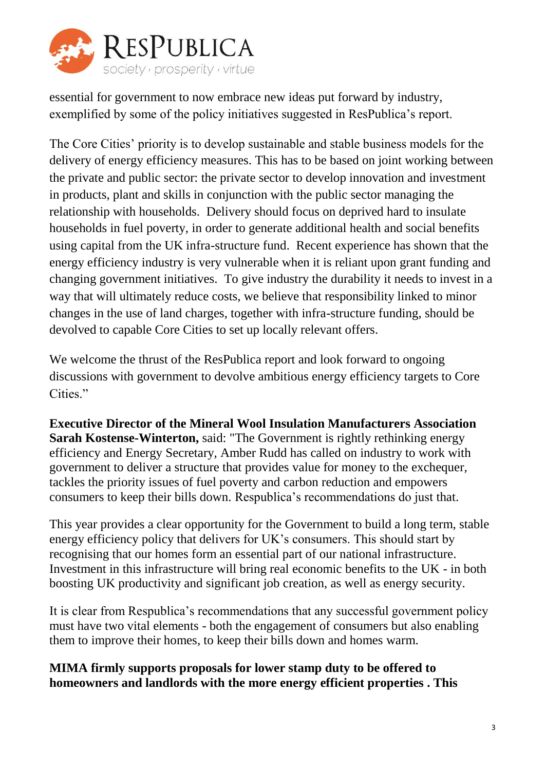

essential for government to now embrace new ideas put forward by industry, exemplified by some of the policy initiatives suggested in ResPublica's report.

The Core Cities' priority is to develop sustainable and stable business models for the delivery of energy efficiency measures. This has to be based on joint working between the private and public sector: the private sector to develop innovation and investment in products, plant and skills in conjunction with the public sector managing the relationship with households. Delivery should focus on deprived hard to insulate households in fuel poverty, in order to generate additional health and social benefits using capital from the UK infra-structure fund. Recent experience has shown that the energy efficiency industry is very vulnerable when it is reliant upon grant funding and changing government initiatives. To give industry the durability it needs to invest in a way that will ultimately reduce costs, we believe that responsibility linked to minor changes in the use of land charges, together with infra-structure funding, should be devolved to capable Core Cities to set up locally relevant offers.

We welcome the thrust of the ResPublica report and look forward to ongoing discussions with government to devolve ambitious energy efficiency targets to Core Cities."

**Executive Director of the Mineral Wool Insulation Manufacturers Association Sarah Kostense-Winterton,** said: "The Government is rightly rethinking energy efficiency and Energy Secretary, Amber Rudd has called on industry to work with government to deliver a structure that provides value for money to the exchequer, tackles the priority issues of fuel poverty and carbon reduction and empowers consumers to keep their bills down. Respublica's recommendations do just that.

This year provides a clear opportunity for the Government to build a long term, stable energy efficiency policy that delivers for UK's consumers. This should start by recognising that our homes form an essential part of our national infrastructure. Investment in this infrastructure will bring real economic benefits to the UK - in both boosting UK productivity and significant job creation, as well as energy security.

It is clear from Respublica's recommendations that any successful government policy must have two vital elements - both the engagement of consumers but also enabling them to improve their homes, to keep their bills down and homes warm.

## **MIMA firmly supports proposals for lower stamp duty to be offered to homeowners and landlords with the more energy efficient properties . This**